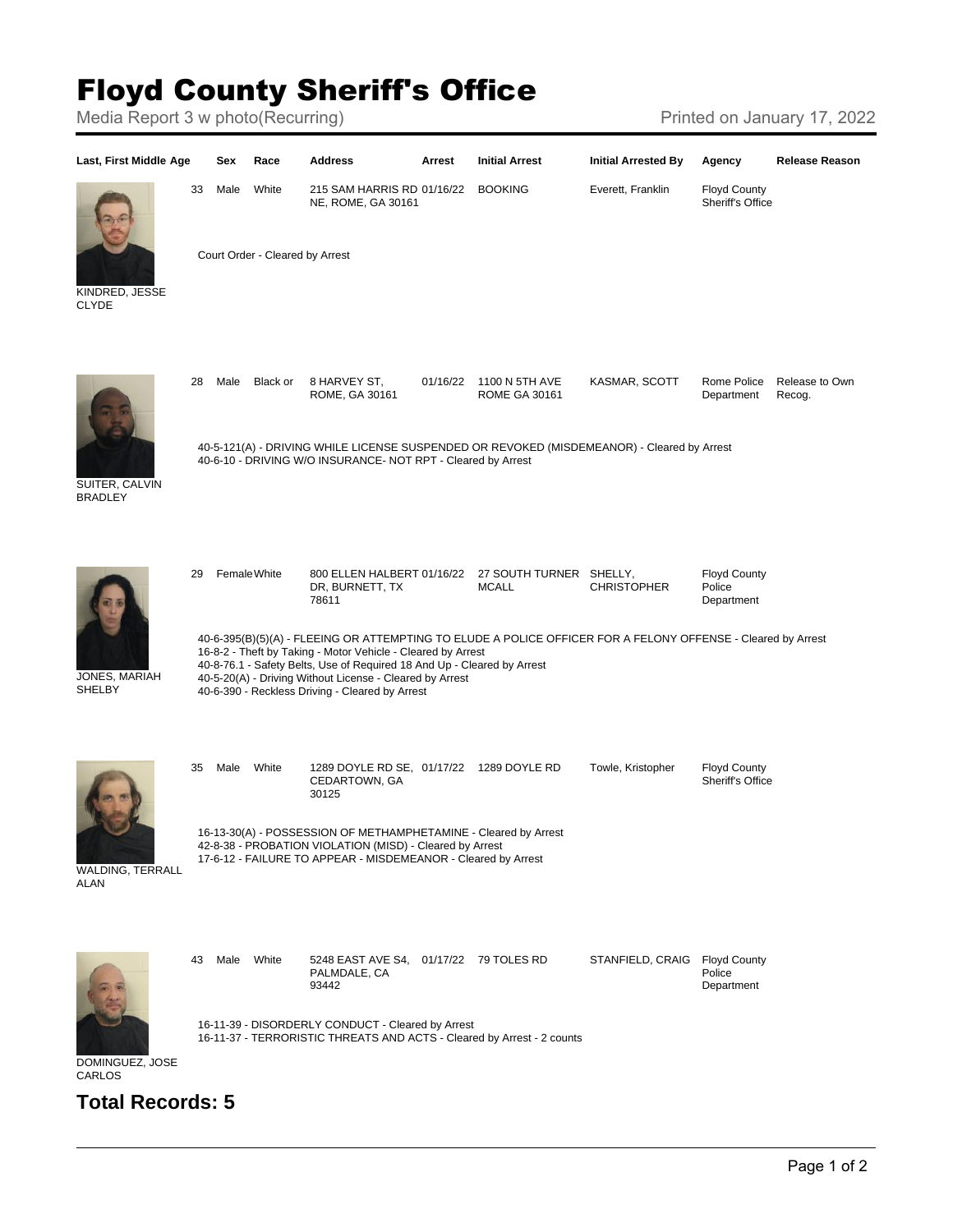## Floyd County Sheriff's Office

Media Report 3 w photo(Recurring) Media Report 3 w photo(Recurring)



## **Total Records: 5**